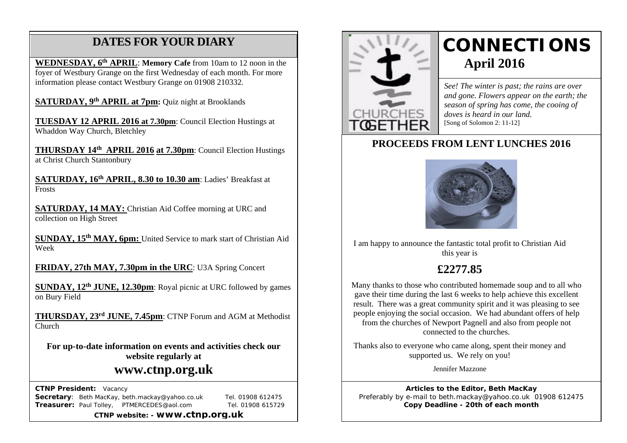# **DATES FOR YOUR DIARY**

**WEDNESDAY, 6th APRIL**: **Memory Cafe** from 10am to 12 noon in the foyer of Westbury Grange on the first Wednesday of each month. For more information please contact Westbury Grange on 01908 210332.

**SATURDAY, 9th APRIL at 7pm:** Quiz night at Brooklands

 $\overline{\phantom{a}}$ **TUESDAY 12 APRIL 2016 at 7.30pm**: Council Election Hustings at Whaddon Way Church, Bletchley

**THURSDAY 14th APRIL 2016 at 7.30pm**: Council Election Hustings at Christ Church Stantonbury

**SATURDAY, 16th APRIL, 8.30 to 10.30 am**: Ladies' Breakfast at Frosts

**SATURDAY, 14 MAY:** Christian Aid Coffee morning at URC and collection on High Street

**SUNDAY, 15th MAY, 6pm:** United Service to mark start of Christian Aid Week

**FRIDAY, 27th MAY, 7.30pm in the URC**: U3A Spring Concert

**SUNDAY, 12th JUNE, 12.30pm**: Royal picnic at URC followed by games on Bury Field

**THURSDAY, 23rd JUNE, 7.45pm**: CTNP Forum and AGM at Methodist Church

**For up-to-date information on events and activities check our website regularly at**

# **www.ctnp.org.uk**

 **CTNP President:** Vacancy

**Secretary**: Beth MacKay, beth.mackay@yahoo.co.uk Tel. 01908 612475 **Treasurer:** Paul Tolley, PTMERCEDES@aol.com Tel. 01908 615729

**CTNP website: - www.ctnp.org.uk**



# **CONNECTIONS April 2016**

*See! The winter is past; the rains are over and gone. Flowers appear on the earth; the season of spring has come, the cooing of doves is heard in our land.* [Song of Solomon 2: 11-12]

### **PROCEEDS FROM LENT LUNCHES 2016**



I am happy to announce the fantastic total profit to Christian Aid this year is

# **£2277.85**

Many thanks to those who contributed homemade soup and to all who gave their time during the last 6 weeks to help achieve this excellent result. There was a great community spirit and it was pleasing to see people enjoying the social occasion. We had abundant offers of help from the churches of Newport Pagnell and also from people not connected to the churches.

Thanks also to everyone who came along, spent their money and supported us. We rely on you!

Jennifer Mazzone

**Articles to the Editor, Beth MacKay** Preferably by e-mail to beth.mackay@yahoo.co.uk 01908 612475 **Copy Deadline - 20th of each month**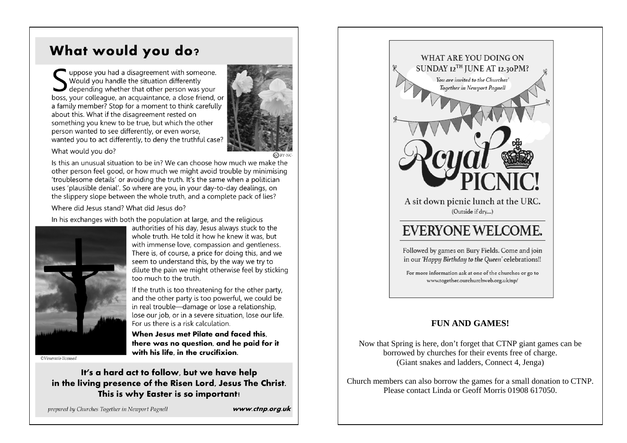# What would you do?

uppose you had a disagreement with someone. Would you handle the situation differently depending whether that other person was your boss, your colleague, an acquaintance, a close friend, or a family member? Stop for a moment to think carefully about this. What if the disagreement rested on something you knew to be true, but which the other person wanted to see differently, or even worse, wanted you to act differently, to deny the truthful case?



What would you do?

Is this an unusual situation to be in? We can choose how much we make the other person feel good, or how much we might avoid trouble by minimising 'troublesome details' or avoiding the truth. It's the same when a politician uses 'plausible denial'. So where are you, in your day-to-day dealings, on the slippery slope between the whole truth, and a complete pack of lies?

Where did Jesus stand? What did Jesus do?

In his exchanges with both the population at large, and the religious



authorities of his day, Jesus always stuck to the whole truth. He told it how he knew it was, but with immense love, compassion and gentleness. There is, of course, a price for doing this, and we seem to understand this, by the way we try to dilute the pain we might otherwise feel by sticking too much to the truth.

If the truth is too threatening for the other party, and the other party is too powerful, we could be in real trouble-damage or lose a relationship, lose our job, or in a severe situation, lose our life. For us there is a risk calculation.

When Jesus met Pilate and faced this. there was no question, and he paid for it with his life in the crucifixion.

©Veneratio licensed

It's a hard act to follow, but we have help in the living presence of the Risen Lord, Jesus The Christ. This is why Easter is so important!

prepared by Churches Together in Newport Pagnell

www.ctnp.org.uk



For more information ask at one of the churches or go to www.together.ourchurchweb.org.uk/np/

### **FUN AND GAMES!**

Now that Spring is here, don't forget that CTNP giant games can be borrowed by churches for their events free of charge. (Giant snakes and ladders, Connect 4, Jenga)

Church members can also borrow the games for a small donation to CTNP. Please contact Linda or Geoff Morris 01908 617050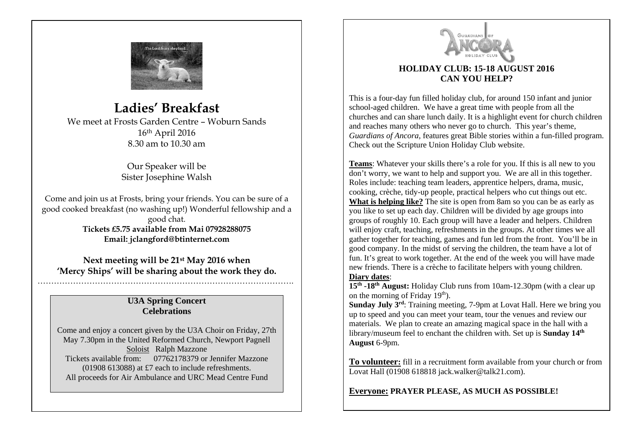

# **Ladies' Breakfast**

We meet at Frosts Garden Centre – Woburn Sands 16th April 2016 8.30 am to 10.30 am

> Our Speaker will be Sister Josephine Walsh

Come and join us at Frosts, bring your friends. You can be sure of a good cooked breakfast (no washing up!) Wonderful fellowship and a good chat. **Tickets £5.75 available from Mai 07928288075 Email: jclangford@btinternet.com**

**Next meeting will be 21st May 2016 when 'Mercy Ships' will be sharing about the work they do.**

### **U3A Spring Concert Celebrations**

………………………………………………………………………………….

Come and enjoy a concert given by the U3A Choir on Friday, 27th May 7.30pm in the United Reformed Church, Newport Pagnell Soloist Ralph Mazzone Tickets available from: 07762178379 or Jennifer Mazzone (01908 613088) at £7 each to include refreshments. All proceeds for Air Ambulance and URC Mead Centre Fund



### **HOLIDAY CLUB: 15-18 AUGUST 2016 CAN YOU HELP?**

This is a four-day fun filled holiday club, for around 150 infant and junior school-aged children. We have a great time with people from all the churches and can share lunch daily. It is a highlight event for church children and reaches many others who never go to church. This year's theme, *Guardians of Ancora,* features great Bible stories within a fun-filled program. Check out the Scripture Union Holiday Club website.

**Teams**: Whatever your skills there's a role for you. If this is all new to you don't worry, we want to help and support you. We are all in this together. Roles include: teaching team leaders, apprentice helpers, drama, music, cooking, crèche, tidy-up people, practical helpers who cut things out etc. What is helping like? The site is open from 8am so you can be as early as you like to set up each day. Children will be divided by age groups into groups of roughly 10. Each group will have a leader and helpers. Children will enjoy craft, teaching, refreshments in the groups. At other times we all gather together for teaching, games and fun led from the front. You'll be in good company. In the midst of serving the children, the team have a lot of fun. It's great to work together. At the end of the week you will have made new friends. There is a crèche to facilitate helpers with young children. **Diary dates**:

**15th -18th August:** Holiday Club runs from 10am-12.30pm (with a clear up on the morning of Friday  $19<sup>th</sup>$ ).

**Sunday July 3<sup>rd</sup>:** Training meeting, 7-9pm at Lovat Hall. Here we bring you up to speed and you can meet your team, tour the venues and review our materials. We plan to create an amazing magical space in the hall with a library/museum feel to enchant the children with. Set up is **Sunday 14th August** 6-9pm.

**To volunteer:** fill in a recruitment form available from your church or from Lovat Hall (01908 618818 jack.walker@talk21.com).

**Everyone: PRAYER PLEASE, AS MUCH AS POSSIBLE!**